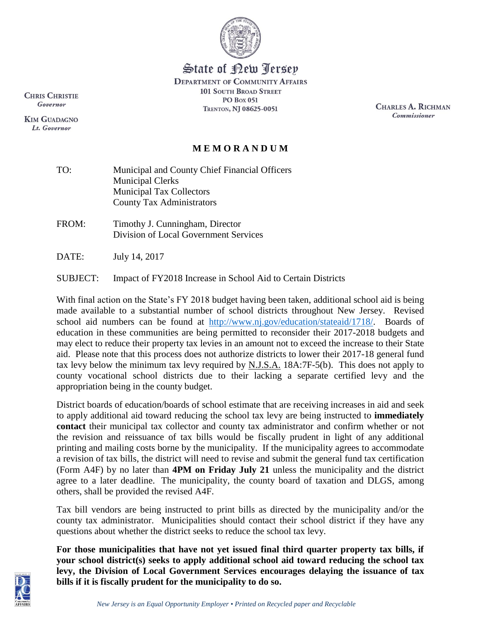

State of <u>Pew Jerse</u>y

**DEPARTMENT OF COMMUNITY AFFAIRS 101 SOUTH BROAD STREET PO Box 051** TRENTON, NJ 08625-0051

CHARLES A. RICHMAN **Commissioner** 

## **M E M O R A N D U M**

- TO: Municipal and County Chief Financial Officers Municipal Clerks Municipal Tax Collectors County Tax Administrators
- FROM: Timothy J. Cunningham, Director Division of Local Government Services

DATE: July 14, 2017

SUBJECT: Impact of FY2018 Increase in School Aid to Certain Districts

With final action on the State's FY 2018 budget having been taken, additional school aid is being made available to a substantial number of school districts throughout New Jersey. Revised school aid numbers can be found at [http://www.nj.gov/education/stateaid/1718/.](http://www.nj.gov/education/stateaid/1718/) Boards of education in these communities are being permitted to reconsider their 2017-2018 budgets and may elect to reduce their property tax levies in an amount not to exceed the increase to their State aid. Please note that this process does not authorize districts to lower their 2017-18 general fund tax levy below the minimum tax levy required by  $N.J.S.A.$  18A:7F-5(b). This does not apply to county vocational school districts due to their lacking a separate certified levy and the appropriation being in the county budget.

District boards of education/boards of school estimate that are receiving increases in aid and seek to apply additional aid toward reducing the school tax levy are being instructed to **immediately contact** their municipal tax collector and county tax administrator and confirm whether or not the revision and reissuance of tax bills would be fiscally prudent in light of any additional printing and mailing costs borne by the municipality. If the municipality agrees to accommodate a revision of tax bills, the district will need to revise and submit the general fund tax certification (Form A4F) by no later than **4PM on Friday July 21** unless the municipality and the district agree to a later deadline. The municipality, the county board of taxation and DLGS, among others, shall be provided the revised A4F.

Tax bill vendors are being instructed to print bills as directed by the municipality and/or the county tax administrator. Municipalities should contact their school district if they have any questions about whether the district seeks to reduce the school tax levy.

**For those municipalities that have not yet issued final third quarter property tax bills, if your school district(s) seeks to apply additional school aid toward reducing the school tax levy, the Division of Local Government Services encourages delaying the issuance of tax bills if it is fiscally prudent for the municipality to do so.**

**CHRIS CHRISTIE** Governor

**KIM GUADAGNO** Lt. Governor